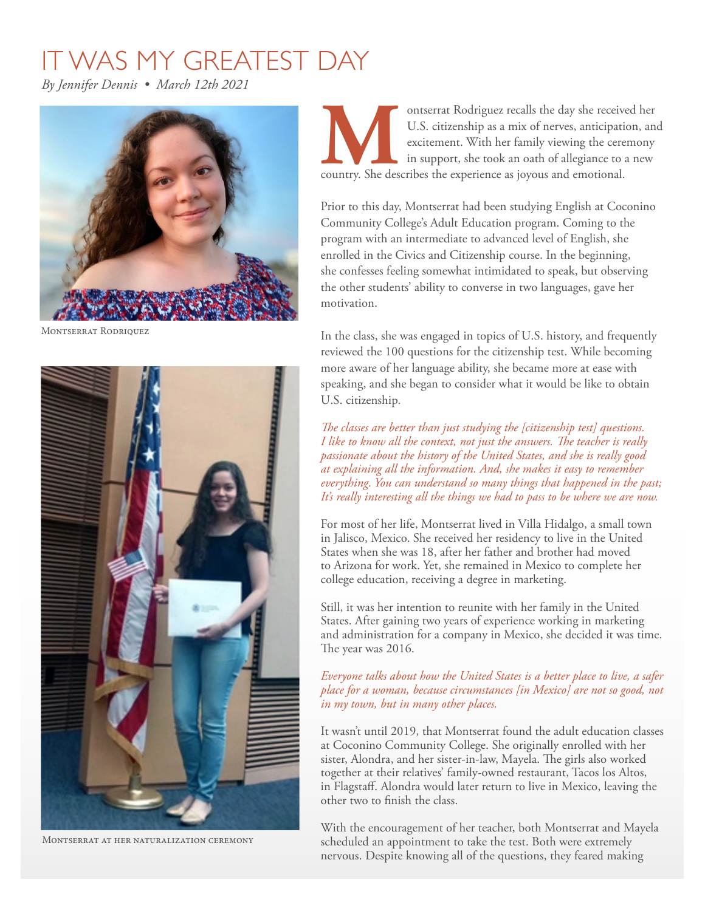## IT WAS MY GREATEST DAY

*By Jennifer Dennis • March 12th 2021* 



Montserrat Rodriquez



Montserrat at her naturalization ceremony

**Manufactures The Counterst Rodriguez recalls the day she received her U.S. citizenship as a mix of nerves, anticipation, and excitement. With her family viewing the ceremony in support, she took an oath of allegiance to a** U.S. citizenship as a mix of nerves, anticipation, and excitement. With her family viewing the ceremony in support, she took an oath of allegiance to a new

Prior to this day, Montserrat had been studying English at Coconino Community College's Adult Education program. Coming to the program with an intermediate to advanced level of English, she enrolled in the Civics and Citizenship course. In the beginning, she confesses feeling somewhat intimidated to speak, but observing the other students' ability to converse in two languages, gave her motivation.

In the class, she was engaged in topics of U.S. history, and frequently reviewed the 100 questions for the citizenship test. While becoming more aware of her language ability, she became more at ease with speaking, and she began to consider what it would be like to obtain U.S. citizenship.

*The classes are better than just studying the [citizenship test] questions. I like to know all the context, not just the answers. The teacher is really passionate about the history of the United States, and she is really good at explaining all the information. And, she makes it easy to remember everything. You can understand so many things that happened in the past; It's really interesting all the things we had to pass to be where we are now.* 

For most of her life, Montserrat lived in Villa Hidalgo, a small town in Jalisco, Mexico. She received her residency to live in the United States when she was 18, after her father and brother had moved to Arizona for work. Yet, she remained in Mexico to complete her college education, receiving a degree in marketing.

Still, it was her intention to reunite with her family in the United States. After gaining two years of experience working in marketing and administration for a company in Mexico, she decided it was time. The year was 2016.

## *Everyone talks about how the United States is a better place to live, a safer place for a woman, because circumstances [in Mexico] are not so good, not in my town, but in many other places.*

It wasn't until 2019, that Montserrat found the adult education classes at Coconino Community College. She originally enrolled with her sister, Alondra, and her sister-in-law, Mayela. The girls also worked together at their relatives' family-owned restaurant, Tacos los Altos, in Flagstaf. Alondra would later return to live in Mexico, leaving the other two to fnish the class.

With the encouragement of her teacher, both Montserrat and Mayela scheduled an appointment to take the test. Both were extremely nervous. Despite knowing all of the questions, they feared making